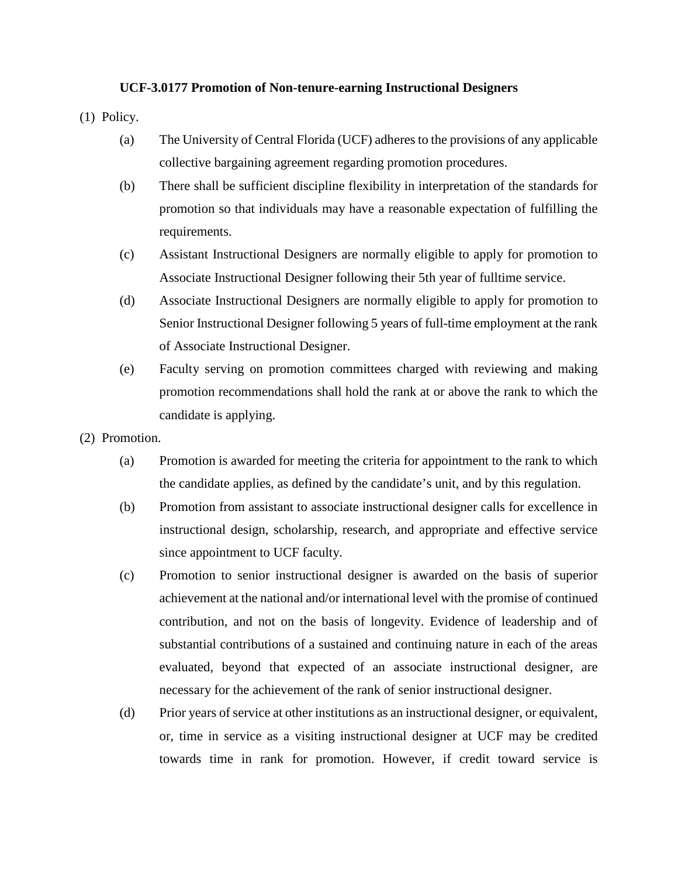## **UCF-3.0177 Promotion of Non-tenure-earning Instructional Designers**

(1) Policy.

- (a) The University of Central Florida (UCF) adheres to the provisions of any applicable collective bargaining agreement regarding promotion procedures.
- (b) There shall be sufficient discipline flexibility in interpretation of the standards for promotion so that individuals may have a reasonable expectation of fulfilling the requirements.
- (c) Assistant Instructional Designers are normally eligible to apply for promotion to Associate Instructional Designer following their 5th year of fulltime service.
- (d) Associate Instructional Designers are normally eligible to apply for promotion to Senior Instructional Designer following 5 years of full-time employment at the rank of Associate Instructional Designer.
- (e) Faculty serving on promotion committees charged with reviewing and making promotion recommendations shall hold the rank at or above the rank to which the candidate is applying.
- (2) Promotion.
	- (a) Promotion is awarded for meeting the criteria for appointment to the rank to which the candidate applies, as defined by the candidate's unit, and by this regulation.
	- (b) Promotion from assistant to associate instructional designer calls for excellence in instructional design, scholarship, research, and appropriate and effective service since appointment to UCF faculty.
	- (c) Promotion to senior instructional designer is awarded on the basis of superior achievement at the national and/or international level with the promise of continued contribution, and not on the basis of longevity. Evidence of leadership and of substantial contributions of a sustained and continuing nature in each of the areas evaluated, beyond that expected of an associate instructional designer, are necessary for the achievement of the rank of senior instructional designer.
	- (d) Prior years of service at other institutions as an instructional designer, or equivalent, or, time in service as a visiting instructional designer at UCF may be credited towards time in rank for promotion. However, if credit toward service is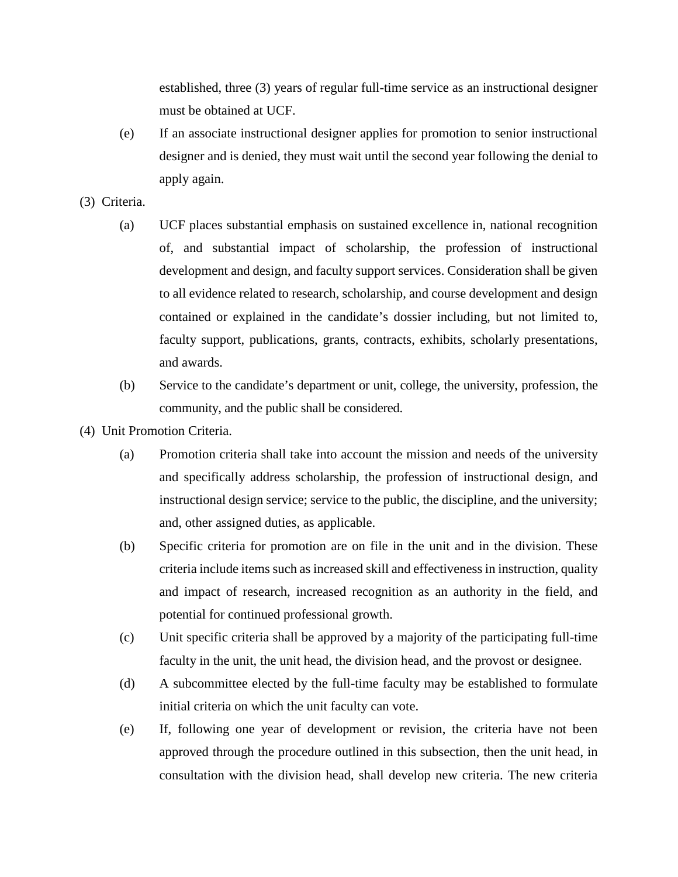established, three (3) years of regular full-time service as an instructional designer must be obtained at UCF.

- (e) If an associate instructional designer applies for promotion to senior instructional designer and is denied, they must wait until the second year following the denial to apply again.
- (3) Criteria.
	- (a) UCF places substantial emphasis on sustained excellence in, national recognition of, and substantial impact of scholarship, the profession of instructional development and design, and faculty support services. Consideration shall be given to all evidence related to research, scholarship, and course development and design contained or explained in the candidate's dossier including, but not limited to, faculty support, publications, grants, contracts, exhibits, scholarly presentations, and awards.
	- (b) Service to the candidate's department or unit, college, the university, profession, the community, and the public shall be considered.
- (4) Unit Promotion Criteria.
	- (a) Promotion criteria shall take into account the mission and needs of the university and specifically address scholarship, the profession of instructional design, and instructional design service; service to the public, the discipline, and the university; and, other assigned duties, as applicable.
	- (b) Specific criteria for promotion are on file in the unit and in the division. These criteria include items such as increased skill and effectiveness in instruction, quality and impact of research, increased recognition as an authority in the field, and potential for continued professional growth.
	- (c) Unit specific criteria shall be approved by a majority of the participating full-time faculty in the unit, the unit head, the division head, and the provost or designee.
	- (d) A subcommittee elected by the full-time faculty may be established to formulate initial criteria on which the unit faculty can vote.
	- (e) If, following one year of development or revision, the criteria have not been approved through the procedure outlined in this subsection, then the unit head, in consultation with the division head, shall develop new criteria. The new criteria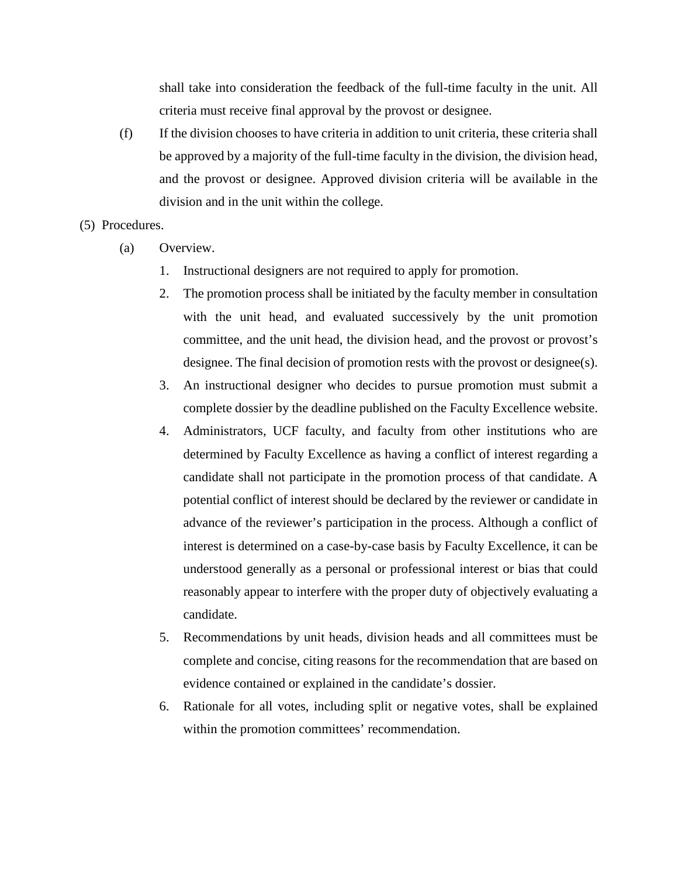shall take into consideration the feedback of the full-time faculty in the unit. All criteria must receive final approval by the provost or designee.

(f) If the division chooses to have criteria in addition to unit criteria, these criteria shall be approved by a majority of the full-time faculty in the division, the division head, and the provost or designee. Approved division criteria will be available in the division and in the unit within the college.

## (5) Procedures.

- (a) Overview.
	- 1. Instructional designers are not required to apply for promotion.
	- 2. The promotion process shall be initiated by the faculty member in consultation with the unit head, and evaluated successively by the unit promotion committee, and the unit head, the division head, and the provost or provost's designee. The final decision of promotion rests with the provost or designee(s).
	- 3. An instructional designer who decides to pursue promotion must submit a complete dossier by the deadline published on the Faculty Excellence website.
	- 4. Administrators, UCF faculty, and faculty from other institutions who are determined by Faculty Excellence as having a conflict of interest regarding a candidate shall not participate in the promotion process of that candidate. A potential conflict of interest should be declared by the reviewer or candidate in advance of the reviewer's participation in the process. Although a conflict of interest is determined on a case-by-case basis by Faculty Excellence, it can be understood generally as a personal or professional interest or bias that could reasonably appear to interfere with the proper duty of objectively evaluating a candidate.
	- 5. Recommendations by unit heads, division heads and all committees must be complete and concise, citing reasons for the recommendation that are based on evidence contained or explained in the candidate's dossier.
	- 6. Rationale for all votes, including split or negative votes, shall be explained within the promotion committees' recommendation.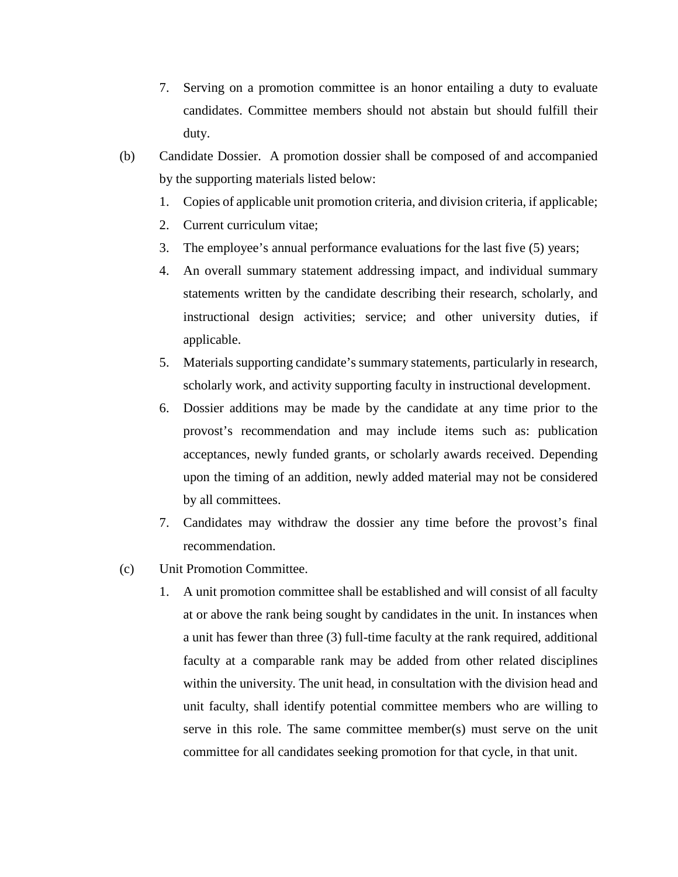- 7. Serving on a promotion committee is an honor entailing a duty to evaluate candidates. Committee members should not abstain but should fulfill their duty.
- (b) Candidate Dossier. A promotion dossier shall be composed of and accompanied by the supporting materials listed below:
	- 1. Copies of applicable unit promotion criteria, and division criteria, if applicable;
	- 2. Current curriculum vitae;
	- 3. The employee's annual performance evaluations for the last five (5) years;
	- 4. An overall summary statement addressing impact, and individual summary statements written by the candidate describing their research, scholarly, and instructional design activities; service; and other university duties, if applicable.
	- 5. Materials supporting candidate's summary statements, particularly in research, scholarly work, and activity supporting faculty in instructional development.
	- 6. Dossier additions may be made by the candidate at any time prior to the provost's recommendation and may include items such as: publication acceptances, newly funded grants, or scholarly awards received. Depending upon the timing of an addition, newly added material may not be considered by all committees.
	- 7. Candidates may withdraw the dossier any time before the provost's final recommendation.
- (c) Unit Promotion Committee.
	- 1. A unit promotion committee shall be established and will consist of all faculty at or above the rank being sought by candidates in the unit. In instances when a unit has fewer than three (3) full-time faculty at the rank required, additional faculty at a comparable rank may be added from other related disciplines within the university. The unit head, in consultation with the division head and unit faculty, shall identify potential committee members who are willing to serve in this role. The same committee member(s) must serve on the unit committee for all candidates seeking promotion for that cycle, in that unit.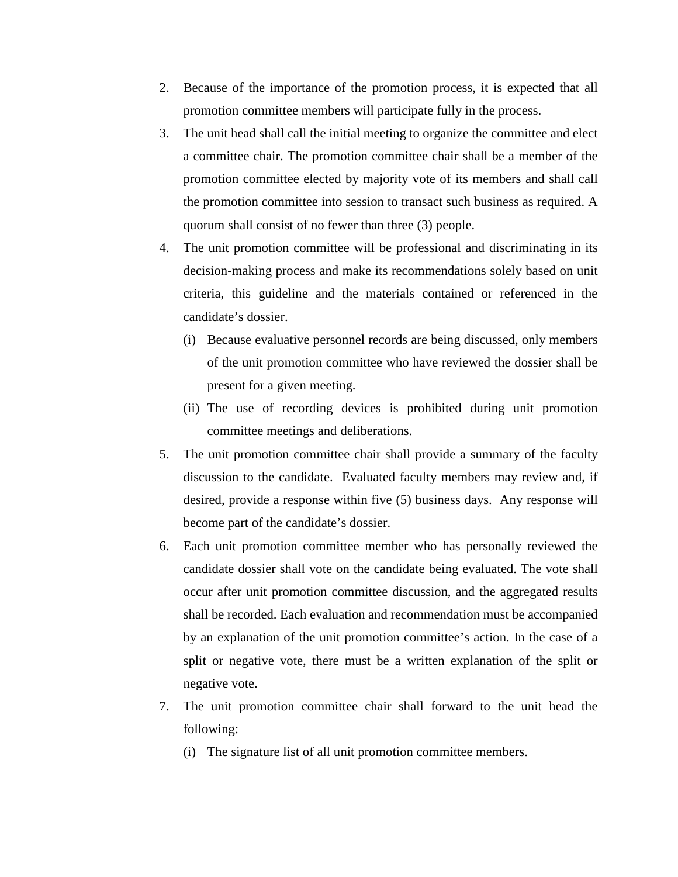- 2. Because of the importance of the promotion process, it is expected that all promotion committee members will participate fully in the process.
- 3. The unit head shall call the initial meeting to organize the committee and elect a committee chair. The promotion committee chair shall be a member of the promotion committee elected by majority vote of its members and shall call the promotion committee into session to transact such business as required. A quorum shall consist of no fewer than three (3) people.
- 4. The unit promotion committee will be professional and discriminating in its decision-making process and make its recommendations solely based on unit criteria, this guideline and the materials contained or referenced in the candidate's dossier.
	- (i) Because evaluative personnel records are being discussed, only members of the unit promotion committee who have reviewed the dossier shall be present for a given meeting.
	- (ii) The use of recording devices is prohibited during unit promotion committee meetings and deliberations.
- 5. The unit promotion committee chair shall provide a summary of the faculty discussion to the candidate. Evaluated faculty members may review and, if desired, provide a response within five (5) business days. Any response will become part of the candidate's dossier.
- 6. Each unit promotion committee member who has personally reviewed the candidate dossier shall vote on the candidate being evaluated. The vote shall occur after unit promotion committee discussion, and the aggregated results shall be recorded. Each evaluation and recommendation must be accompanied by an explanation of the unit promotion committee's action. In the case of a split or negative vote, there must be a written explanation of the split or negative vote.
- 7. The unit promotion committee chair shall forward to the unit head the following:
	- (i) The signature list of all unit promotion committee members.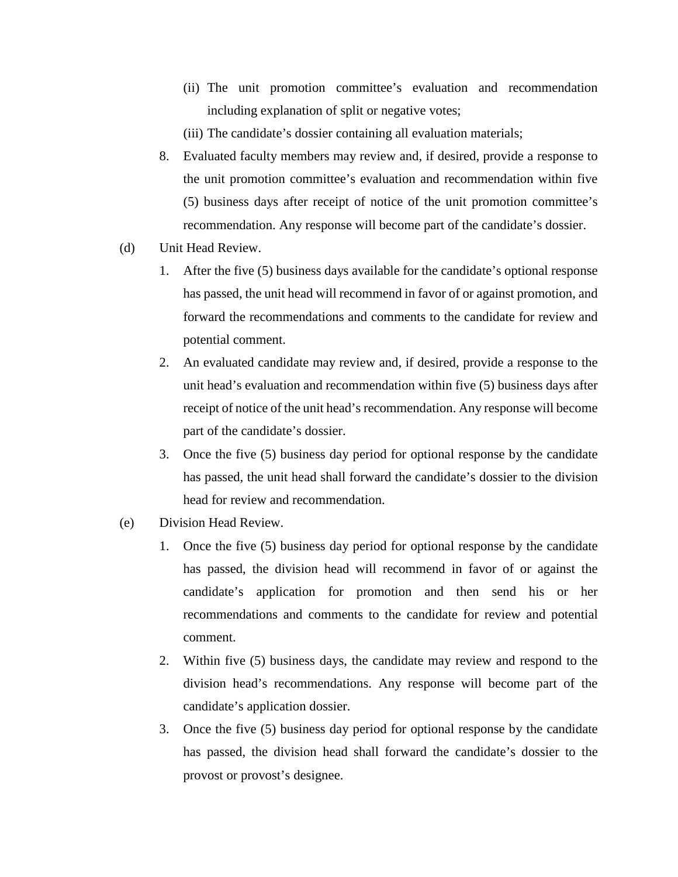- (ii) The unit promotion committee's evaluation and recommendation including explanation of split or negative votes;
- (iii) The candidate's dossier containing all evaluation materials;
- 8. Evaluated faculty members may review and, if desired, provide a response to the unit promotion committee's evaluation and recommendation within five (5) business days after receipt of notice of the unit promotion committee's recommendation. Any response will become part of the candidate's dossier.
- (d) Unit Head Review.
	- 1. After the five (5) business days available for the candidate's optional response has passed, the unit head will recommend in favor of or against promotion, and forward the recommendations and comments to the candidate for review and potential comment.
	- 2. An evaluated candidate may review and, if desired, provide a response to the unit head's evaluation and recommendation within five (5) business days after receipt of notice of the unit head's recommendation. Any response will become part of the candidate's dossier.
	- 3. Once the five (5) business day period for optional response by the candidate has passed, the unit head shall forward the candidate's dossier to the division head for review and recommendation.
- (e) Division Head Review.
	- 1. Once the five (5) business day period for optional response by the candidate has passed, the division head will recommend in favor of or against the candidate's application for promotion and then send his or her recommendations and comments to the candidate for review and potential comment.
	- 2. Within five (5) business days, the candidate may review and respond to the division head's recommendations. Any response will become part of the candidate's application dossier.
	- 3. Once the five (5) business day period for optional response by the candidate has passed, the division head shall forward the candidate's dossier to the provost or provost's designee.